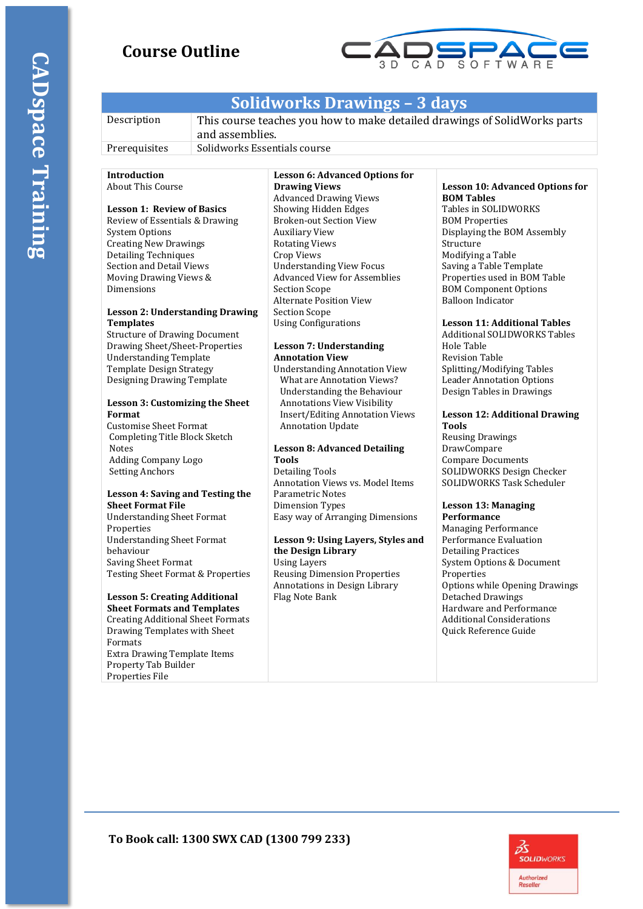# **Course Outline**



# **Solidworks Drawings – 3 days**

| Description   | This course teaches you how to make detailed drawings of SolidWorks parts<br>and assemblies. |
|---------------|----------------------------------------------------------------------------------------------|
| Prerequisites | Solidworks Essentials course                                                                 |

# **Introduction**

About This Course

## **Lesson 1: Review of Basics**

Review of Essentials & Drawing System Options Creating New Drawings Detailing Techniques Section and Detail Views Moving Drawing Views & Dimensions

### **Lesson 2: Understanding Drawing Templates**

Structure of Drawing Document Drawing Sheet/Sheet-Properties Understanding Template Template Design Strategy Designing Drawing Template

### **Lesson 3: Customizing the Sheet Format**

Customise Sheet Format Completing Title Block Sketch Notes Adding Company Logo Setting Anchors

#### **Lesson 4: Saving and Testing the Sheet Format File**

Understanding Sheet Format **Properties** Understanding Sheet Format behaviour Saving Sheet Format Testing Sheet Format & Properties

## **Lesson 5: Creating Additional**

**Sheet Formats and Templates** Creating Additional Sheet Formats Drawing Templates with Sheet Formats Extra Drawing Template Items Property Tab Builder Properties File

#### **Lesson 6: Advanced Options for Drawing Views** Advanced Drawing Views Showing Hidden Edges Broken-out Section View Auxiliary View Rotating Views Crop Views Understanding View Focus Advanced View for Assemblies Section Scope Alternate Position View Section Scope Using Configurations

### **Lesson 7: Understanding Annotation View**

Understanding Annotation View What are Annotation Views? Understanding the Behaviour Annotations View Visibility Insert/Editing Annotation Views Annotation Update

## **Lesson 8: Advanced Detailing Tools**

Detailing Tools Annotation Views vs. Model Items Parametric Notes Dimension Types Easy way of Arranging Dimensions

#### **Lesson 9: Using Layers, Styles and the Design Library** Using Layers Reusing Dimension Properties Annotations in Design Library Flag Note Bank

#### **Lesson 10: Advanced Options for BOM Tables**

Tables in SOLIDWORKS BOM Properties Displaying the BOM Assembly Structure Modifying a Table Saving a Table Template Properties used in BOM Table BOM Component Options Balloon Indicator

## **Lesson 11: Additional Tables**

Additional SOLIDWORKS Tables Hole Table Revision Table Splitting/Modifying Tables Leader Annotation Options Design Tables in Drawings

#### **Lesson 12: Additional Drawing Tools**

Reusing Drawings DrawCompare Compare Documents SOLIDWORKS Design Checker SOLIDWORKS Task Scheduler

#### **Lesson 13: Managing Performance**

Managing Performance Performance Evaluation Detailing Practices System Options & Document Properties Options while Opening Drawings Detached Drawings Hardware and Performance Additional Considerations Quick Reference Guide